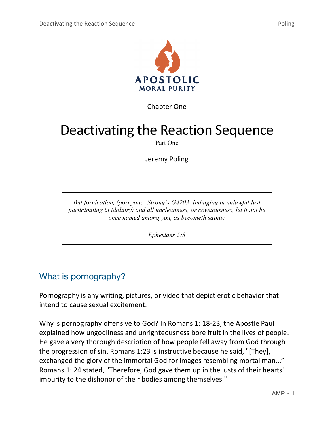

Chapter One

## Deactivating the Reaction Sequence

Part One

Jeremy Poling

*But fornication, (pornyouo- Strong's G4203- indulging in unlawful lust participating in idolatry) and all uncleanness, or covetousness, let it not be once named among you, as becometh saints:*

*Ephesians 5:3*

## What is pornography?

Pornography is any writing, pictures, or video that depict erotic behavior that intend to cause sexual excitement.

Why is pornography offensive to God? In Romans 1: 18-23, the Apostle Paul explained how ungodliness and unrighteousness bore fruit in the lives of people. He gave a very thorough description of how people fell away from God through the progression of sin. Romans 1:23 is instructive because he said, "[They], exchanged the glory of the immortal God for images resembling mortal man..." Romans 1: 24 stated, "Therefore, God gave them up in the lusts of their hearts' impurity to the dishonor of their bodies among themselves."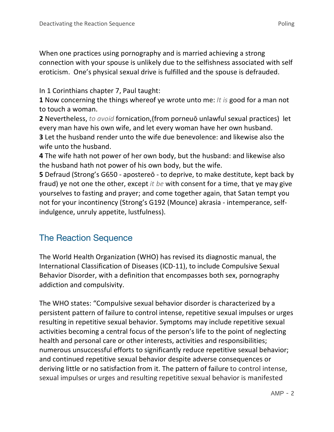When one practices using pornography and is married achieving a strong connection with your spouse is unlikely due to the selfishness associated with self eroticism. One's physical sexual drive is fulfilled and the spouse is defrauded.

In 1 Corinthians chapter 7, Paul taught:

**1** Now concerning the things whereof ye wrote unto me: *It is* good for a man not to touch a woman.

**2** Nevertheless, *to avoid* fornication,(from porneuō unlawful sexual practices) let every man have his own wife, and let every woman have her own husband. **3** Let the husband render unto the wife due benevolence: and likewise also the wife unto the husband.

**4** The wife hath not power of her own body, but the husband: and likewise also the husband hath not power of his own body, but the wife.

**5** Defraud (Strong's G650 - apostereō - to deprive, to make destitute, kept back by fraud) ye not one the other, except *it be* with consent for a time, that ye may give yourselves to fasting and prayer; and come together again, that Satan tempt you not for your incontinency (Strong's G192 (Mounce) akrasia - intemperance, selfindulgence, unruly appetite, lustfulness).

## The Reaction Sequence

The World Health Organization (WHO) has revised its diagnostic manual, the International Classification of Diseases (ICD-11), to include Compulsive Sexual Behavior Disorder, with a definition that encompasses both sex, pornography addiction and compulsivity.

The WHO states: "Compulsive sexual behavior disorder is characterized by a persistent pattern of failure to control intense, repetitive sexual impulses or urges resulting in repetitive sexual behavior. Symptoms may include repetitive sexual activities becoming a central focus of the person's life to the point of neglecting health and personal care or other interests, activities and responsibilities; numerous unsuccessful efforts to significantly reduce repetitive sexual behavior; and continued repetitive sexual behavior despite adverse consequences or deriving little or no satisfaction from it. The pattern of failure to control intense, sexual impulses or urges and resulting repetitive sexual behavior is manifested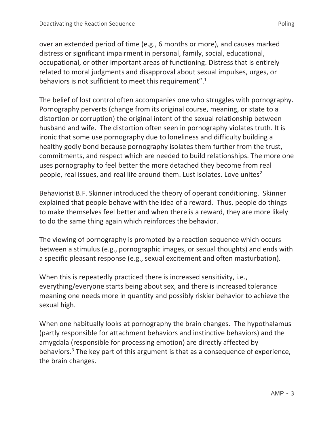over an extended period of time (e.g., 6 months or more), and causes marked distress or significant impairment in personal, family, social, educational, occupational, or other important areas of functioning. Distress that is entirely related to moral judgments and disapproval about sexual impulses, urges, or behaviors is not sufficient to meet this requirement".<sup>1</sup>

The belief of lost control often accompanies one who struggles with pornography. Pornography perverts (change from its original course, meaning, or state to a distortion or corruption) the original intent of the sexual relationship between husband and wife. The distortion often seen in pornography violates truth. It is ironic that some use pornography due to loneliness and difficulty building a healthy godly bond because pornography isolates them further from the trust, commitments, and respect which are needed to build relationships. The more one uses pornography to feel better the more detached they become from real people, real issues, and real life around them. Lust isolates. Love unites<sup>2</sup>

Behaviorist B.F. Skinner introduced the theory of operant conditioning. Skinner explained that people behave with the idea of a reward. Thus, people do things to make themselves feel better and when there is a reward, they are more likely to do the same thing again which reinforces the behavior.

The viewing of pornography is prompted by a reaction sequence which occurs between a stimulus (e.g., pornographic images, or sexual thoughts) and ends with a specific pleasant response (e.g., sexual excitement and often masturbation).

When this is repeatedly practiced there is increased sensitivity, i.e., everything/everyone starts being about sex, and there is increased tolerance meaning one needs more in quantity and possibly riskier behavior to achieve the sexual high.

When one habitually looks at pornography the brain changes. The hypothalamus (partly responsible for attachment behaviors and instinctive behaviors) and the amygdala (responsible for processing emotion) are directly affected by behaviors.<sup>3</sup> The key part of this argument is that as a consequence of experience, the brain changes.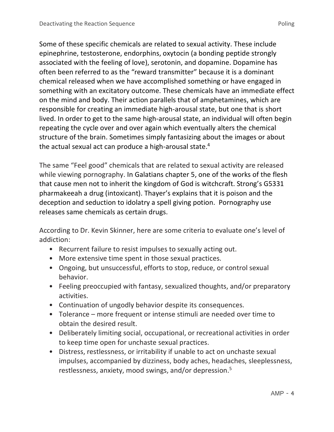Some of these specific chemicals are related to sexual activity. These include epinephrine, testosterone, endorphins, oxytocin (a bonding peptide strongly associated with the feeling of love), serotonin, and dopamine. Dopamine has often been referred to as the "reward transmitter" because it is a dominant chemical released when we have accomplished something or have engaged in something with an excitatory outcome. These chemicals have an immediate effect on the mind and body. Their action parallels that of amphetamines, which are responsible for creating an immediate high-arousal state, but one that is short lived. In order to get to the same high-arousal state, an individual will often begin repeating the cycle over and over again which eventually alters the chemical structure of the brain. Sometimes simply fantasizing about the images or about the actual sexual act can produce a high-arousal state.<sup>4</sup>

The same "Feel good" chemicals that are related to sexual activity are released while viewing pornography. In Galatians chapter 5, one of the works of the flesh that cause men not to inherit the kingdom of God is witchcraft. Strong's G5331 pharmakeeah a drug (intoxicant). Thayer's explains that it is poison and the deception and seduction to idolatry a spell giving potion. Pornography use releases same chemicals as certain drugs.

According to Dr. Kevin Skinner, here are some criteria to evaluate one's level of addiction:

- Recurrent failure to resist impulses to sexually acting out.
- More extensive time spent in those sexual practices.
- Ongoing, but unsuccessful, efforts to stop, reduce, or control sexual behavior.
- Feeling preoccupied with fantasy, sexualized thoughts, and/or preparatory activities.
- Continuation of ungodly behavior despite its consequences.
- Tolerance more frequent or intense stimuli are needed over time to obtain the desired result.
- Deliberately limiting social, occupational, or recreational activities in order to keep time open for unchaste sexual practices.
- Distress, restlessness, or irritability if unable to act on unchaste sexual impulses, accompanied by dizziness, body aches, headaches, sleeplessness, restlessness, anxiety, mood swings, and/or depression. 5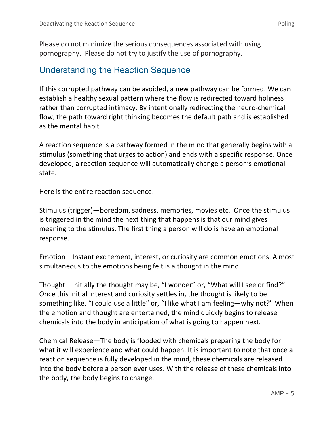Please do not minimize the serious consequences associated with using pornography. Please do not try to justify the use of pornography.

## Understanding the Reaction Sequence

If this corrupted pathway can be avoided, a new pathway can be formed. We can establish a healthy sexual pattern where the flow is redirected toward holiness rather than corrupted intimacy. By intentionally redirecting the neuro-chemical flow, the path toward right thinking becomes the default path and is established as the mental habit.

A reaction sequence is a pathway formed in the mind that generally begins with a stimulus (something that urges to action) and ends with a specific response. Once developed, a reaction sequence will automatically change a person's emotional state.

Here is the entire reaction sequence:

Stimulus (trigger)—boredom, sadness, memories, movies etc. Once the stimulus is triggered in the mind the next thing that happens is that our mind gives meaning to the stimulus. The first thing a person will do is have an emotional response.

Emotion—Instant excitement, interest, or curiosity are common emotions. Almost simultaneous to the emotions being felt is a thought in the mind.

Thought—Initially the thought may be, "I wonder" or, "What will I see or find?" Once this initial interest and curiosity settles in, the thought is likely to be something like, "I could use a little" or, "I like what I am feeling—why not?" When the emotion and thought are entertained, the mind quickly begins to release chemicals into the body in anticipation of what is going to happen next.

Chemical Release—The body is flooded with chemicals preparing the body for what it will experience and what could happen. It is important to note that once a reaction sequence is fully developed in the mind, these chemicals are released into the body before a person ever uses. With the release of these chemicals into the body, the body begins to change.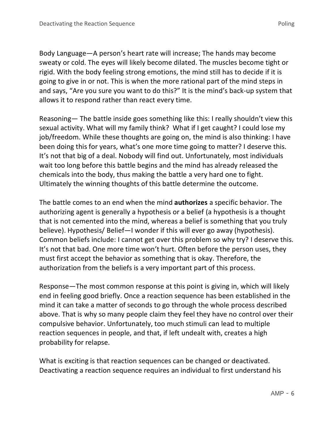Body Language—A person's heart rate will increase; The hands may become sweaty or cold. The eyes will likely become dilated. The muscles become tight or rigid. With the body feeling strong emotions, the mind still has to decide if it is going to give in or not. This is when the more rational part of the mind steps in and says, "Are you sure you want to do this?" It is the mind's back-up system that allows it to respond rather than react every time.

Reasoning— The battle inside goes something like this: I really shouldn't view this sexual activity. What will my family think? What if I get caught? I could lose my job/freedom. While these thoughts are going on, the mind is also thinking: I have been doing this for years, what's one more time going to matter? I deserve this. It's not that big of a deal. Nobody will find out. Unfortunately, most individuals wait too long before this battle begins and the mind has already released the chemicals into the body, thus making the battle a very hard one to fight. Ultimately the winning thoughts of this battle determine the outcome.

The battle comes to an end when the mind **authorizes** a specific behavior. The authorizing agent is generally a hypothesis or a belief (a hypothesis is a thought that is not cemented into the mind, whereas a belief is something that you truly believe). Hypothesis/ Belief—I wonder if this will ever go away (hypothesis). Common beliefs include: I cannot get over this problem so why try? I deserve this. It's not that bad. One more time won't hurt. Often before the person uses, they must first accept the behavior as something that is okay. Therefore, the authorization from the beliefs is a very important part of this process.

Response—The most common response at this point is giving in, which will likely end in feeling good briefly. Once a reaction sequence has been established in the mind it can take a matter of seconds to go through the whole process described above. That is why so many people claim they feel they have no control over their compulsive behavior. Unfortunately, too much stimuli can lead to multiple reaction sequences in people, and that, if left undealt with, creates a high probability for relapse.

What is exciting is that reaction sequences can be changed or deactivated. Deactivating a reaction sequence requires an individual to first understand his